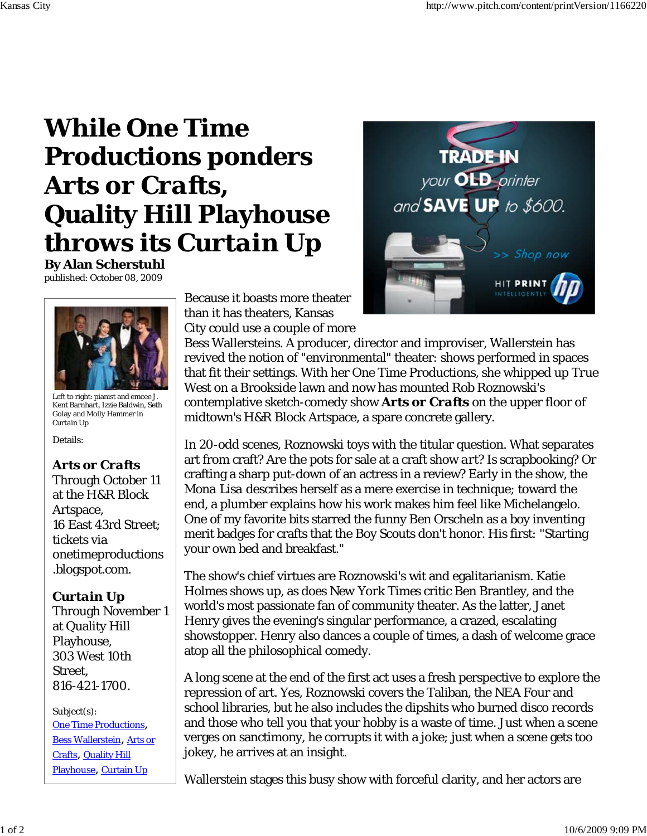## **While One Time Productions ponders** *Arts or Crafts***, Quality Hill Playhouse throws its** *Curtain Up*

**By Alan Scherstuhl** published: October 08, 2009



Left to right: pianist and emcee J. Kent Barnhart, Izzie Baldwin, Seth Golay and Molly Hammer in *Curtain Up*

Details:

## *Arts or Crafts*

Through October 11 at the H&R Block Artspace, 16 East 43rd Street; tickets via onetimeproductions .blogspot.com.

## *Curtain Up*

Through November 1 at Quality Hill Playhouse, 303 West 10th Street, 816-421-1700.

Subject(s): One Time Productions, Bess Wallerstein, Arts or Crafts, Quality Hill Playhouse, Curtain Up

Because it boasts more theater than it has theaters, Kansas City could use a couple of more



Bess Wallersteins. A producer, director and improviser, Wallerstein has revived the notion of "environmental" theater: shows performed in spaces that fit their settings. With her One Time Productions, she whipped up *True West* on a Brookside lawn and now has mounted Rob Roznowski's contemplative sketch-comedy show *Arts or Crafts* on the upper floor of midtown's H&R Block Artspace, a spare concrete gallery.

In 20-odd scenes, Roznowski toys with the titular question. What separates art from craft? Are the pots for sale at a craft show *art*? Is scrapbooking? Or crafting a sharp put-down of an actress in a review? Early in the show, the *Mona Lisa* describes herself as a mere exercise in technique; toward the end, a plumber explains how his work makes him feel like Michelangelo. One of my favorite bits starred the funny Ben Orscheln as a boy inventing merit badges for crafts that the Boy Scouts don't honor. His first: "Starting your own bed and breakfast."

The show's chief virtues are Roznowski's wit and egalitarianism. Katie Holmes shows up, as does *New York Times* critic Ben Brantley, and the world's most passionate fan of community theater. As the latter, Janet Henry gives the evening's singular performance, a crazed, escalating showstopper. Henry also dances a couple of times, a dash of welcome grace atop all the philosophical comedy.

A long scene at the end of the first act uses a fresh perspective to explore the repression of art. Yes, Roznowski covers the Taliban, the NEA Four and school libraries, but he also includes the dipshits who burned disco records and those who tell you that your hobby is a waste of time. Just when a scene verges on sanctimony, he corrupts it with a joke; just when a scene gets too jokey, he arrives at an insight.

Wallerstein stages this busy show with forceful clarity, and her actors are